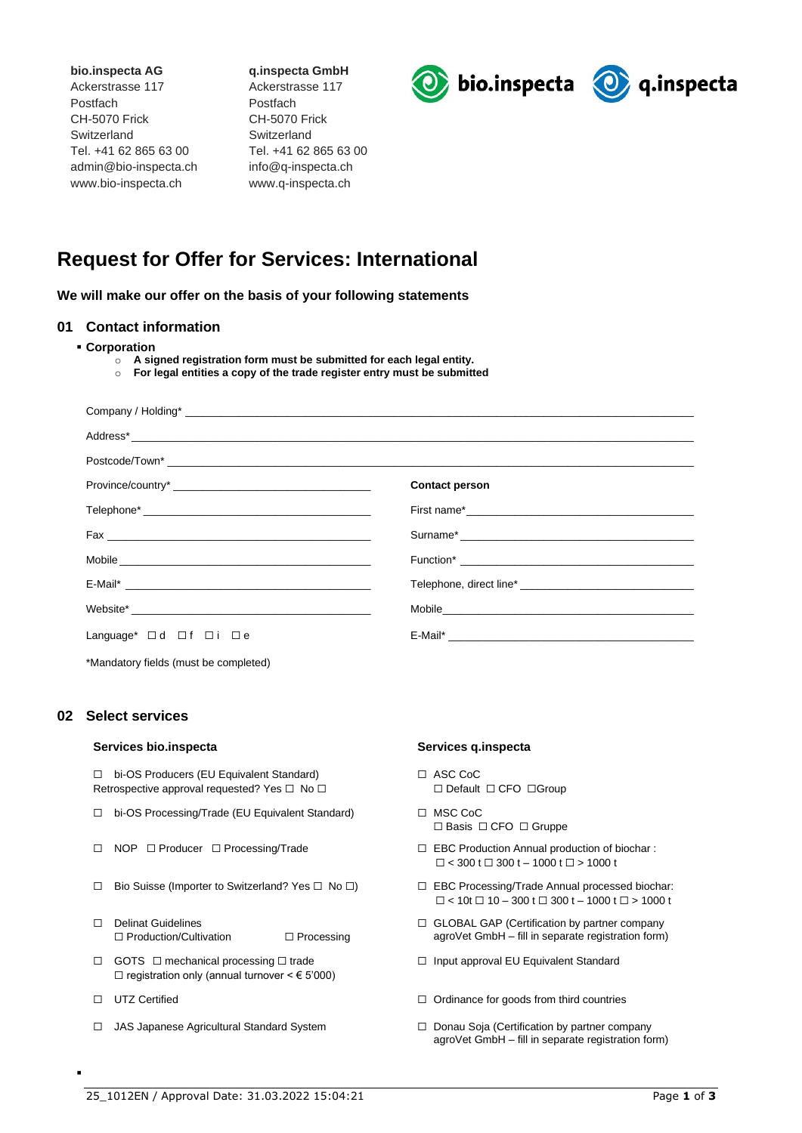**bio.inspecta AG** Ackerstrasse 117 Postfach CH-5070 Frick **Switzerland** Tel. +41 62 865 63 00 admin@bio-inspecta.ch www.bio-inspecta.ch

**q.inspecta GmbH** Ackerstrasse 117 Postfach CH-5070 Frick **Switzerland** Tel. +41 62 865 63 00 info@q-inspecta.ch www.q-inspecta.ch





# **Request for Offer for Services: International**

**We will make our offer on the basis of your following statements**

### **01 Contact information**

- **Corporation**
	- o **A signed registration form must be submitted for each legal entity.**
	- o **For legal entities a copy of the trade register entry must be submitted**

|                                       | <b>Contact person</b> |
|---------------------------------------|-----------------------|
|                                       |                       |
|                                       |                       |
|                                       |                       |
|                                       |                       |
|                                       |                       |
| Language* □d □f □i □e                 |                       |
| *Mandatory fields (must be completed) |                       |

## **02 Select services**

### **Services bio.inspecta Services q.inspecta**

☐ bi-OS Producers (EU Equivalent Standard) Retrospective approval requested? Yes □ No □

- ☐ bi-OS Processing/Trade (EU Equivalent Standard) ☐ MSC CoC
- ☐ NOP ☐ Producer ☐ Processing/Trade ☐ EBC Production Annual production of biochar :
- ☐ Bio Suisse (Importer to Switzerland? Yes ☐ No ☐) ☐ EBC Processing/Trade Annual processed biochar:
- ☐ Delinat Guidelines ☐ Production/Cultivation ☐ Processing
- ☐ GOTS ☐ mechanical processing ☐ trade □ registration only (annual turnover  $\leq$   $\in$  5'000)
- ☐ UTZ Certified

▪

☐ JAS Japanese Agricultural Standard System

- ☐ ASC CoC ☐ Default ☐ CFO ☐Group
- ☐ Basis ☐ CFO ☐ Gruppe
- $\Box$  < 300 t  $\Box$  300 t 1000 t  $\Box$  > 1000 t
- $\Box$  < 10t  $\Box$  10 300 t  $\Box$  300 t 1000 t  $\Box$  > 1000 t
- ☐ GLOBAL GAP (Certification by partner company agroVet GmbH – fill in separate registration form)
- ☐ Input approval EU Equivalent Standard
- ☐ Ordinance for goods from third countries
- ☐ Donau Soja (Certification by partner company agroVet GmbH – fill in separate registration form)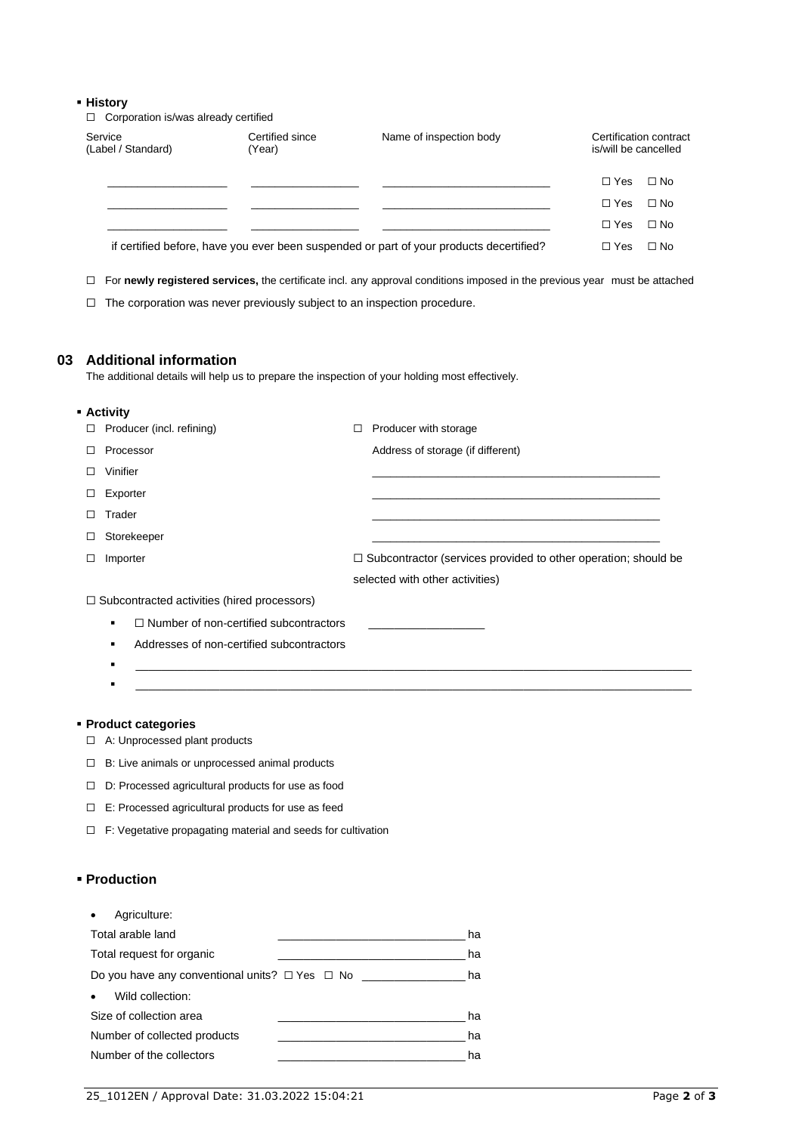### ▪ **History**

☐ Corporation is/was already certified

| Service<br>(Label / Standard) | Certified since<br>(Year) | Name of inspection body                                                                 | Certification contract<br>is/will be cancelled |  |
|-------------------------------|---------------------------|-----------------------------------------------------------------------------------------|------------------------------------------------|--|
|                               |                           |                                                                                         | $\Box$ No<br>$\Box$ Yes                        |  |
|                               |                           |                                                                                         | $\Box$ No<br>$\Box$ Yes                        |  |
|                               |                           |                                                                                         | $\Box$ No<br>$\Box$ Yes                        |  |
|                               |                           | if certified before, have you ever been suspended or part of your products decertified? | $\Box$ No<br>$\Box$ Yes                        |  |

☐ For **newly registered services,** the certificate incl. any approval conditions imposed in the previous year must be attached

☐ The corporation was never previously subject to an inspection procedure.

### **03 Additional information**

The additional details will help us to prepare the inspection of your holding most effectively.

|   | • Activity                                         |   |                                                                       |
|---|----------------------------------------------------|---|-----------------------------------------------------------------------|
| □ | Producer (incl. refining)                          | □ | Producer with storage                                                 |
|   | Processor                                          |   | Address of storage (if different)                                     |
|   | Vinifier                                           |   |                                                                       |
|   | Exporter                                           |   |                                                                       |
|   | Trader                                             |   |                                                                       |
|   | Storekeeper                                        |   |                                                                       |
| □ | Importer                                           |   | $\Box$ Subcontractor (services provided to other operation; should be |
|   |                                                    |   | selected with other activities)                                       |
|   | $\Box$ Subcontracted activities (hired processors) |   |                                                                       |
|   | $\Box$ Number of non-certified subcontractors<br>٠ |   |                                                                       |
|   | Addresses of non-certified subcontractors<br>٠     |   |                                                                       |
|   | ٠                                                  |   |                                                                       |

 $\bullet$  . The contribution of the contribution of the contribution of the contribution of the contribution of the contribution of the contribution of the contribution of the contribution of the contribution of the contributi

- **Product categories**
	- ☐ A: Unprocessed plant products
	- ☐ B: Live animals or unprocessed animal products
	- ☐ D: Processed agricultural products for use as food
	- ☐ E: Processed agricultural products for use as feed
	- ☐ F: Vegetative propagating material and seeds for cultivation

# ▪ **Production**

| Agriculture:                                                   |    |
|----------------------------------------------------------------|----|
| Total arable land                                              | ha |
| Total request for organic                                      | ha |
| Do you have any conventional units? □ Yes □ No _______________ | ha |
| Wild collection:                                               |    |
| Size of collection area                                        | ha |
| Number of collected products                                   | ha |
| Number of the collectors                                       | ha |